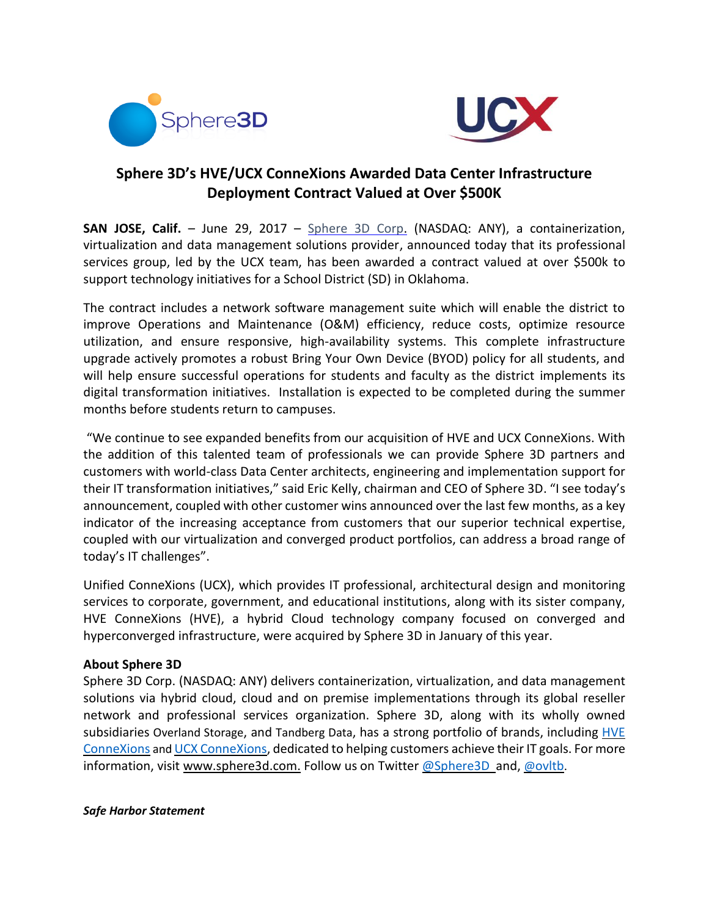



## **Sphere 3D's HVE/UCX ConneXions Awarded Data Center Infrastructure Deployment Contract Valued at Over \$500K**

**SAN JOSE, Calif.** – June 29, 2017 – [Sphere 3D Corp.](http://www.sphere3d.com/) (NASDAQ: ANY), a containerization, virtualization and data management solutions provider, announced today that its professional services group, led by the UCX team, has been awarded a contract valued at over \$500k to support technology initiatives for a School District (SD) in Oklahoma.

The contract includes a network software management suite which will enable the district to improve Operations and Maintenance (O&M) efficiency, reduce costs, optimize resource utilization, and ensure responsive, high-availability systems. This complete infrastructure upgrade actively promotes a robust Bring Your Own Device (BYOD) policy for all students, and will help ensure successful operations for students and faculty as the district implements its digital transformation initiatives. Installation is expected to be completed during the summer months before students return to campuses.

"We continue to see expanded benefits from our acquisition of HVE and UCX ConneXions. With the addition of this talented team of professionals we can provide Sphere 3D partners and customers with world-class Data Center architects, engineering and implementation support for their IT transformation initiatives," said Eric Kelly, chairman and CEO of Sphere 3D. "I see today's announcement, coupled with other customer wins announced over the last few months, as a key indicator of the increasing acceptance from customers that our superior technical expertise, coupled with our virtualization and converged product portfolios, can address a broad range of today's IT challenges".

Unified ConneXions (UCX), which provides IT professional, architectural design and monitoring services to corporate, government, and educational institutions, along with its sister company, HVE ConneXions (HVE), a hybrid Cloud technology company focused on converged and hyperconverged infrastructure, were acquired by Sphere 3D in January of this year.

## **About Sphere 3D**

Sphere 3D Corp. (NASDAQ: ANY) delivers containerization, virtualization, and data management solutions via hybrid cloud, cloud and on premise implementations through its global reseller network and professional services organization. Sphere 3D, along with its wholly owned subsidiaries [Overland](http://www.overlandstorage.com/) Storage, and [Tandberg](http://www.tandbergdata.com/) Data, has a strong portfolio of brands, including [HVE](http://www.hveconnexions.com/) [ConneXions](http://www.hveconnexions.com/) and UCX [ConneXions,](http://www.ucxs.net/) dedicated to helping customers achieve their IT goals. For more information, visit [www.sphere3d.com.](http://www.sphere3d.com/) Follow us on Twitter @Sphere3D\_and, @[ovltb](https://twitter.com/ovltb).

## *Safe Harbor Statement*